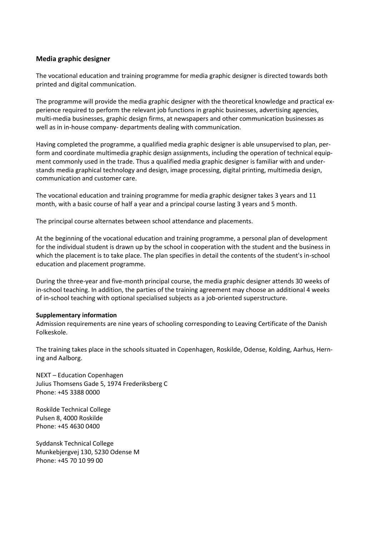## **Media graphic designer**

The vocational education and training programme for media graphic designer is directed towards both printed and digital communication.

The programme will provide the media graphic designer with the theoretical knowledge and practical experience required to perform the relevant job functions in graphic businesses, advertising agencies, multi-media businesses, graphic design firms, at newspapers and other communication businesses as well as in in-house company- departments dealing with communication.

Having completed the programme, a qualified media graphic designer is able unsupervised to plan, perform and coordinate multimedia graphic design assignments, including the operation of technical equipment commonly used in the trade. Thus a qualified media graphic designer is familiar with and understands media graphical technology and design, image processing, digital printing, multimedia design, communication and customer care.

The vocational education and training programme for media graphic designer takes 3 years and 11 month, with a basic course of half a year and a principal course lasting 3 years and 5 month.

The principal course alternates between school attendance and placements.

At the beginning of the vocational education and training programme, a personal plan of development for the individual student is drawn up by the school in cooperation with the student and the business in which the placement is to take place. The plan specifies in detail the contents of the student's in-school education and placement programme.

During the three-year and five-month principal course, the media graphic designer attends 30 weeks of in-school teaching. In addition, the parties of the training agreement may choose an additional 4 weeks of in-school teaching with optional specialised subjects as a job-oriented superstructure.

## **Supplementary information**

Admission requirements are nine years of schooling corresponding to Leaving Certificate of the Danish Folkeskole.

The training takes place in the schools situated in Copenhagen, Roskilde, Odense, Kolding, Aarhus, Herning and Aalborg.

NEXT – Education Copenhagen Julius Thomsens Gade 5, 1974 Frederiksberg C Phone: +45 3388 0000

Roskilde Technical College Pulsen 8, 4000 Roskilde Phone: +45 4630 0400

Syddansk Technical College Munkebjergvej 130, 5230 Odense M Phone: +45 70 10 99 00